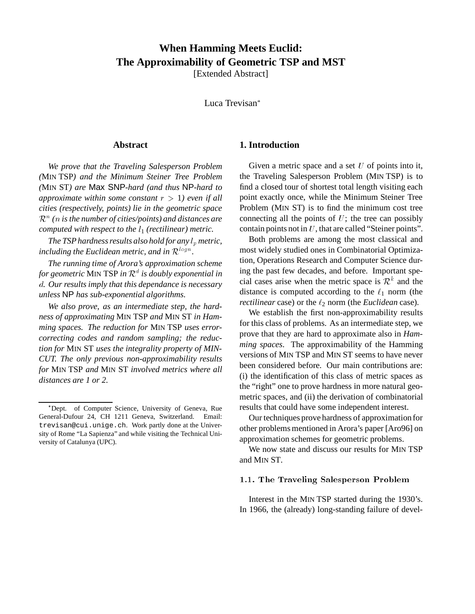# **When Hamming Meets Euclid: The Approximability of Geometric TSP and MST**

[Extended Abstract]

Luca Trevisan

## **Abstract**

*We prove that the Traveling Salesperson Problem (*MIN TSP*) and the Minimum Steiner Tree Problem (*MIN ST*) are* Max SNP*-hard (and thus* NP*-hard to approximate within some constant*  $r > 1$ *) even if all cities (respectively, points) lie in the geometric space*  $\mathcal{R}^n$  ( $n$  is the number of cities/points) and distances are *computed with respect to the*  $l_1$  *(rectilinear) metric.* 

*The TSP hardness results also hold for any*  $l_p$  *metric,* including the Euclidean metric, and in  $\mathcal{R}^{logn}$ .

*The running time of Arora's approximation scheme for geometric* MIN TSP *in* <sup>R</sup><sup>d</sup> *is doubly exponential in* d*. Our results imply that this dependance is necessary unless* NP *has sub-exponential algorithms.*

*We also prove, as an intermediate step, the hardness of approximating* MIN TSP *and* MIN ST *in Hamming spaces. The reduction for* MIN TSP *uses errorcorrecting codes and random sampling; the reduction for* MIN ST *uses the integrality property of MIN-CUT. The only previous non-approximability results for* MIN TSP *and* MIN ST *involved metrics where all distances are 1 or 2.*

## **1. Introduction**

Given a metric space and a set  $U$  of points into it, the Traveling Salesperson Problem (MIN TSP) is to find a closed tour of shortest total length visiting each point exactly once, while the Minimum Steiner Tree Problem (MIN ST) is to find the minimum cost tree connecting all the points of  $U$ ; the tree can possibly contain points not in  $U$ , that are called "Steiner points".

Both problems are among the most classical and most widely studied ones in Combinatorial Optimization, Operations Research and Computer Science during the past few decades, and before. Important special cases arise when the metric space is  $\mathcal{R}^k$  and the distance is computed according to the  $\ell_1$  norm (the *rectilinear* case) or the  $\ell_2$  norm (the *Euclidean* case).

We establish the first non-approximability results for this class of problems. As an intermediate step, we prove that they are hard to approximate also in *Hamming spaces*. The approximability of the Hamming versions of MIN TSP and MIN ST seems to have never been considered before. Our main contributions are: (i) the identification of this class of metric spaces as the "right" one to prove hardness in more natural geometric spaces, and (ii) the derivation of combinatorial results that could have some independent interest.

Our techniques prove hardness of approximation for other problems mentioned in Arora's paper [Aro96] on approximation schemes for geometric problems.

We now state and discuss our results for MIN TSP and MIN ST.

#### 1.1. The Traveling Salesperson Problem

Interest in the MIN TSP started during the 1930's. In 1966, the (already) long-standing failure of devel-

Dept. of Computer Science, University of Geneva, Rue General-Dufour 24, CH 1211 Geneva, Switzerland. Email: trevisan@cui.unige.ch. Work partly done at the University of Rome "La Sapienza" and while visiting the Technical University of Catalunya (UPC).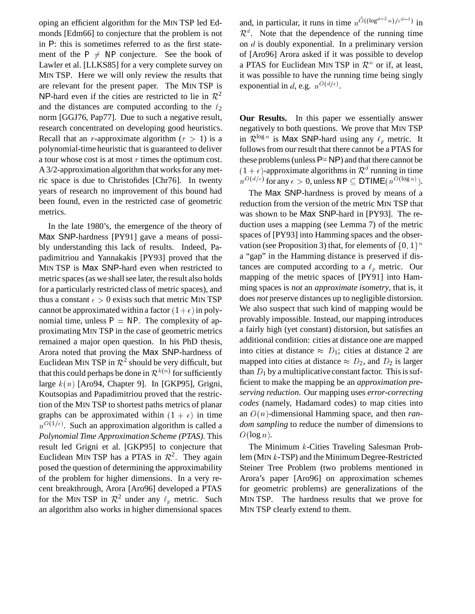oping an efficient algorithm for the MIN TSP led Edmonds [Edm66] to conjecture that the problem is not in P: this is sometimes referred to as the first statement of the  $P \neq NP$  conjecture. See the book of Lawler et al. [LLKS85] for a very complete survey on MIN TSP. Here we will only review the results that are relevant for the present paper. The MIN TSP is NP-hard even if the cities are restricted to lie in  $\mathcal{R}^2$ and the distances are computed according to the  $\ell_2$ norm [GGJ76, Pap77]. Due to such a negative result, research concentrated on developing good heuristics. Recall that an r-approximate algorithm  $(r > 1)$  is a polynomial-time heuristic that is guaranteed to deliver a tour whose cost is at most  $r$  times the optimum cost. A 3/2-approximation algorithm that works for any metric space is due to Christofides [Chr76]. In twenty years of research no improvement of this bound had been found, even in the restricted case of geometric metrics.

In the late 1980's, the emergence of the theory of Max SNP-hardness [PY91] gave a means of possibly understanding this lack of results. Indeed, Papadimitriou and Yannakakis [PY93] proved that the MIN TSP is Max SNP-hard even when restricted to metric spaces (as we shall see later, the result also holds for a particularly restricted class of metric spaces), and thus a constant  $\epsilon > 0$  exists such that metric MIN TSP cannot be approximated within a factor  $(1+\epsilon)$  in polynomial time, unless  $P = NP$ . The complexity of approximating MIN TSP in the case of geometric metrics remained a major open question. In his PhD thesis, Arora noted that proving the Max SNP-hardness of Euclidean MIN TSP in  $\mathcal{R}^2$  should be very difficult, but that this could perhaps be done in  $\mathcal{R}^{k(n)}$  for sufficiently large  $k(n)$  [Aro94, Chapter 9]. In [GKP95], Grigni, Koutsopias and Papadimitriou proved that the restriction of the MIN TSP to shortest paths metrics of planar graphs can be approximated within  $(1 + \epsilon)$  in time  $n^{O(1/\epsilon)}$ . Such an approximation algorithm is called a *Polynomial Time Approximation Scheme (PTAS)*. This result led Grigni et al. [GKP95] to conjecture that Euclidean MIN TSP has a PTAS in  $\mathcal{R}^2$ . They again posed the question of determining the approximability of the problem for higher dimensions. In a very recent breakthrough, Arora [Aro96] developed a PTAS for the MIN TSP in  $\mathcal{R}^2$  under any  $\ell_p$  metric. Such an algorithm also works in higher dimensional spaces

and, in particular, it runs in time  $n^{\tilde{O}((\log^{d-2} n)/\epsilon^{d-1})}$  in  $\mathcal{R}^d$ . Note that the dependence of the running time on <sup>d</sup> is doubly exponential. In a preliminary version of [Aro96] Arora asked if it was possible to develop a PTAS for Euclidean MIN TSP in  $\mathcal{R}^n$  or if, at least, it was possible to have the running time being singly exponential in d, e.g.  $n^{O(d/\epsilon)}$ .

**Our Results.** In this paper we essentially answer negatively to both questions. We prove that MIN TSP in  $\mathcal{R}^{\log n}$  is Max SNP-hard using any  $\ell_p$  metric. It follows from our result that there cannot be a PTAS for these problems (unless  $P= NP$ ) and that there cannot be  $(1 + \epsilon)$ -approximate algorithms in  $\mathcal{R}^d$  running in time  $n^{O(d/\epsilon)}$  for any  $\epsilon > 0$ , unless NP  $\subseteq$  DTIME $(n^{O(\log n)})$ .

The Max SNP-hardness is proved by means of a reduction from the version of the metric MIN TSP that was shown to be Max SNP-hard in [PY93]. The reduction uses a mapping (see Lemma 7) of the metric spaces of [PY93] into Hamming spaces and the observation (see Proposition 3) that, for elements of  $\{0, 1\}^n$ a "gap" in the Hamming distance is preserved if distances are computed according to a  $\ell_p$  metric. Our mapping of the metric spaces of [PY91] into Hamming spaces is *not* an *approximate isometry*, that is, it does *not* preserve distances up to negligible distorsion. We also suspect that such kind of mapping would be provably impossible. Instead, our mapping introduces a fairly high (yet constant) distorsion, but satisfies an additional condition: cities at distance one are mapped into cities at distance  $\approx D_1$ ; cities at distance 2 are mapped into cities at distance  $\approx D_2$ , and  $D_2$  is larger than  $D_1$  by a multiplicative constant factor. This is sufficient to make the mapping be an *approximation preserving reduction*. Our mapping uses *error-correcting codes* (namely, Hadamard codes) to map cities into an O(n)-dimensional Hamming space, and then *random sampling* to reduce the number of dimensions to  $O(\log n)$ .

The Minimum  $k$ -Cities Traveling Salesman Problem (MIN <sup>k</sup>-TSP) and the Minimum Degree-Restricted Steiner Tree Problem (two problems mentioned in Arora's paper [Aro96] on approximation schemes for geometric problems) are generalizations of the MIN TSP. The hardness results that we prove for MIN TSP clearly extend to them.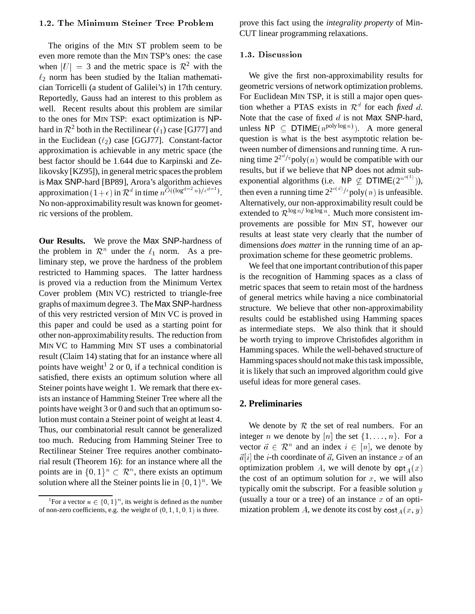## 1.2. The Minimum Steiner Tree Problem

The origins of the MIN ST problem seem to be even more remote than the MIN TSP's ones: the case when  $|U| = 3$  and the metric space is  $\mathcal{R}^2$  with the  $\ell_2$  norm has been studied by the Italian mathematician Torricelli (a student of Galilei's) in 17th century. Reportedly, Gauss had an interest to this problem as well. Recent results about this problem are similar to the ones for MIN TSP: exact optimization is NPhard in  $\mathcal{R}^2$  both in the Rectilinear ( $\ell_1$ ) case [GJ77] and in the Euclidean  $(\ell_2)$  case [GGJ77]. Constant-factor approximation is achievable in any metric space (the best factor should be 1:644 due to Karpinski and Zelikovsky [KZ95]), in general metric spaces the problem is Max SNP-hard [BP89], Arora's algorithm achieves approximation  $(1+\epsilon)$  in  $\mathcal{R}^d$  in time  $n^{\widetilde{O}((\log^{d-2} n)/\epsilon^{d-1})}$ . No non-approximability result was known for geometric versions of the problem.

**Our Results.** We prove the Max SNP-hardness of the problem in  $\mathcal{R}^n$  under the  $\ell_1$  norm. As a preliminary step, we prove the hardness of the problem restricted to Hamming spaces. The latter hardness is proved via a reduction from the Minimum Vertex Cover problem (MIN VC) restricted to triangle-free graphs of maximum degree 3. The Max SNP-hardness of this very restricted version of MIN VC is proved in this paper and could be used as a starting point for other non-approximability results. The reduction from MIN VC to Hamming MIN ST uses a combinatorial result (Claim 14) stating that for an instance where all points have weight<sup>1</sup> 2 or 0, if a technical condition is satisfied, there exists an optimum solution where all Steiner points have weight 1. We remark that there exists an instance of Hamming Steiner Tree where all the points have weight 3 or 0 and such that an optimum solution must contain a Steiner point of weight at least 4. Thus, our combinatorial result cannot be generalized too much. Reducing from Hamming Steiner Tree to Rectilinear Steiner Tree requires another combinatorial result (Theorem 16): for an instance where all the points are in  $\{0,1\}^n \subset \mathbb{R}^n$ , there exists an optimum solution where all the Steiner points lie in  $\{0, 1\}^n$ . We

prove this fact using the *integrality property* of Min-CUT linear programming relaxations.

#### 1.3. Discussion

We give the first non-approximability results for geometric versions of network optimization problems. For Euclidean MIN TSP, it is still a major open question whether a PTAS exists in  $\mathcal{R}^d$  for each *fixed d*. Note that the case of fixed  $d$  is not Max SNP-hard, unless  $\mathsf{NP} \subseteq \mathsf{DTIME}(n^{\text{poly}\log n})$ . A more general question is what is the best asymptotic relation between number of dimensions and running time. A running time  $2^{2^d/\epsilon}$ poly $(n)$  would be compatible with our results, but if we believe that NP does not admit subexponential algorithms (i.e. NP  $\nsubseteq$  DTIME( $2^{n^{o(1)}}$ )), then even a running time  $2^{2^{o(d)}/\epsilon}$  poly $(n)$  is unfeasible. Alternatively, our non-approximability result could be extended to  $\mathcal{R}^{\log n/\log \log n}$ . Much more consistent improvements are possible for MIN ST, however our results at least state very clearly that the number of dimensions *does matter* in the running time of an approximation scheme for these geometric problems.

We feel that one important contribution of this paper is the recognition of Hamming spaces as a class of metric spaces that seem to retain most of the hardness of general metrics while having a nice combinatorial structure. We believe that other non-approximability results could be established using Hamming spaces as intermediate steps. We also think that it should be worth trying to improve Christofides algorithm in Hamming spaces. While the well-behaved structure of Hamming spaces should not make this task impossible, it is likely that such an improved algorithm could give useful ideas for more general cases.

#### **2. Preliminaries**

We denote by  $R$  the set of real numbers. For an integer *n* we denote by [*n*] the set  $\{1, \ldots, n\}$ . For a vector  $\vec{a} \in \mathcal{R}^n$  and an index  $i \in [n]$ , we denote by  $\vec{a}[i]$  the *i*-th coordinate of  $\vec{a}$ , Given an instance x of an optimization problem A, we will denote by  $\mathsf{opt}_A(x)$ the cost of an optimum solution for  $x$ , we will also typically omit the subscript. For a feasible solution  $y$ (usually a tour or a tree) of an instance  $x$  of an optimization problem A, we denote its cost by cost  $_A(x, y)$ 

<sup>&</sup>lt;sup>1</sup>For a vector  $u \in \{0, 1\}^n$ , its weight is defined as the number of non-zero coefficients, e.g. the weight of  $(0, 1, 1, 0, 1)$  is three.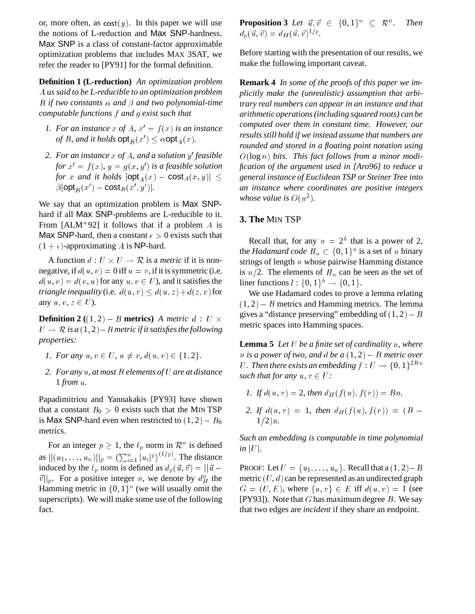or, more often, as  $cost(y)$ . In this paper we will use the notions of L-reduction and Max SNP-hardness. Max SNP is a class of constant-factor approximable optimization problems that includes MAX 3SAT, we refer the reader to [PY91] for the formal definition.

**Definition 1 (L-reduction)** *An optimization problem* A *us said to be L-reducible to an optimization problem* B if two constants  $\alpha$  and  $\beta$  and two polynomial-time *computable functions* f *and* g *exist such that*

- *1. For an instance* x of A,  $x' = f(x)$  *is an instance of B, and it holds*  $\mathsf{opt}_B(x') \leq \alpha \mathsf{opt}_A(x)$ *.*
- 2. For an instance x of A, and a solution y' feasible for  $x' = f(x)$ ,  $y = g(x, y')$  *is a feasible solution for* x and it holds  $|\textsf{opt}_A(x) - \textsf{cost}_A(x, y)| \le$  $\beta$ |opt<sub>B</sub> $(x')$  – cost<sub>B</sub> $(x', y')$ |.

We say that an optimization problem is Max SNPhard if all Max SNP-problems are L-reducible to it. From [ALM<sup>+</sup>92] it follows that if a problem A is Max SNP-hard, then a constant  $\epsilon > 0$  exists such that  $(1 + \epsilon)$ -approximating A is NP-hard.

A function  $d: U \times U \rightarrow \mathcal{R}$  is a *metric* if it is nonnegative, if  $d(u, v) = 0$  iff  $u = v$ , if it is symmetric (i.e.  $d(u, v) = d(v, u)$  for any  $u, v \in U$ ), and it satisfies the *triangle inequality* (i.e.  $d(u, v) \leq d(u, z) + d(z, v)$  for any  $u, v, z \in U$ ).

**Definition 2** ((1, 2) – B **metrics**) A metric  $d : U \times$  $U \rightarrow \mathcal{R}$  is a  $(1, 2)$  – B metric if it satisfies the following *properties:*

- *1. For any*  $u, v \in U$ ,  $u \neq v$ ,  $d(u, v) \in \{1, 2\}$ .
- *2. For any* <sup>u</sup>*, at most* <sup>B</sup> *elements of* <sup>U</sup> *are at distance* 1 *from* u*.*

Papadimitriou and Yannakakis [PY93] have shown that a constant  $B_0 > 0$  exists such that the MIN TSP is Max SNP-hard even when restricted to  $(1, 2) - B_0$ metrics.

For an integer  $p \geq 1$ , the  $\ell_p$  norm in  $\mathcal{R}^n$  is defined as  $||(u_1, \ldots, u_n)||_p = \left(\sum_{i=1}^n |u_i|^p\right)^{(1/p)}$ . The distance induced by the  $\ell_p$  norm is defined as  $d_p(\vec{u}, \vec{v}) = ||\vec{u} - \vec{v}||$  $\vec{v}||_p$ . For a positive integer n, we denote by  $d_H^n$  the Hamming metric in  $\{0,1\}^n$  (we will usually omit the superscripts). We will make some use of the following fact.

**Proposition 3** Let  $\vec{u}, \vec{v} \in \{0, 1\}^n \subset \mathbb{R}^n$ . *. Then*  $d_p({\vec u},{\vec v}) = d_H({\vec u},{\vec v})^{1/p}.$ 

Before starting with the presentation of our results, we make the following important caveat.

**Remark 4** *In some of the proofs of this paper we implicitly make the (unrealistic) assumption that arbitrary real numbers can appear in an instance and that arithmetic operations (including squared roots) can be computed over them in constant time. However, our results still hold if we instead assume that numbers are rounded and stored in a floating point notation using* O(log n) *bits. This fact follows from a minor modification of the argument used in [Aro96] to reduce a general instance of Euclidean TSP or Steiner Tree into an instance where coordinates are positive integers whose value is*  $O(n^2)$ .

## **3. The** MIN TSP

Recall that, for any  $n = 2<sup>h</sup>$  that is a power of 2, the *Hadamard code*  $H_n \subset \{0,1\}^n$  is a set of n binary strings of length  $n$  whose pairwise Hamming distance is  $n/2$ . The elements of  $H_n$  can be seen as the set of liner functions  $l : \{0,1\}^h \rightarrow \{0,1\}.$ 

We use Hadamard codes to prove a lemma relating  $(1, 2)$  – B metrics and Hamming metrics. The lemma gives a "distance preserving" embedding of  $(1, 2) - B$ metric spaces into Hamming spaces.

**Lemma 5** *Let* U *be a finite set of cardinality* n*, where n* is a power of two, and d be a  $(1, 2)$  – B metric over U. Then there exists an embedding  $f: U \to \{0,1\}^{2Bn}$ *such that for any*  $u, v \in U$ :

- *1.* If  $d(u, v) = 2$ , then  $d_H(f(u), f(v)) = Bn$ .
- *2. If*  $d(u, v) = 1$ *, then*  $d_H(f(u), f(v)) = (B 1/2$ )*n*.

*Such an embedding is computable in time polynomial in*  $|U|$ *.* 

PROOF: Let  $U = \{u_1, \ldots, u_n\}$ . Recall that  $a(1, 2) - B$ metric  $(U, d)$  can be represented as an undirected graph  $G = (U, E)$ , where  $\{u, v\} \in E$  iff  $d(u, v) = 1$  (see [PY93]). Note that  $G$  has maximum degree  $B$ . We say that two edges are *incident* if they share an endpoint.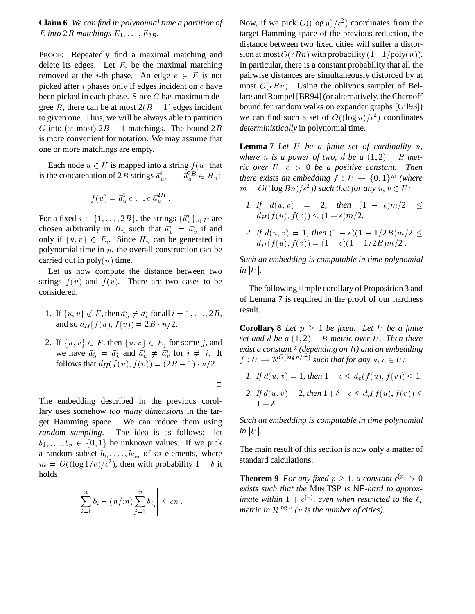**Claim 6** *We can find in polynomial time a partition of* E into 2B matchings  $E_1, \ldots, E_{2B}$ .

PROOF: Repeatedly find a maximal matching and delete its edges. Let  $E_i$  be the maximal matching removed at the *i*-th phase. An edge  $e \in E$  is not picked after *i* phases only if edges incident on  $e$  have been picked in each phase. Since  $G$  has maximum degree B, there can be at most  $2(B - 1)$  edges incident to given one. Thus, we will be always able to partition G into (at most)  $2B - 1$  matchings. The bound  $2B$ is more convenient for notation. We may assume that one or more matchings are empty.  $\Box$ 

Each node  $u \in U$  is mapped into a string  $f(u)$  that is the concatenation of 2B strings  $\vec{a}_u^1, \ldots, \vec{a}_u^{2B} \in H_n$ :

$$
f(u) = \vec{a}_u^1 \circ \ldots \circ \vec{a}_u^{2B} .
$$

For a fixed  $i \in \{1, \ldots, 2B\}$ , the strings  $\{\vec{a}^i_u\}_{u \in U}$  are chosen arbitrarily in  $H_n$  such that  $\vec{a}^i_{\mu} = \vec{a}^i_{\nu}$  if and only if  $\{u, v\} \in E_i$ . Since  $H_n$  can be generated in polynomial time in  $n$ , the overall construction can be carried out in  $poly(n)$  time.

Let us now compute the distance between two strings  $f(u)$  and  $f(v)$ . There are two cases to be considered.

- 1. If  $\{u, v\} \notin E$ , then  $\vec{a}_u^i \neq \vec{a}_v^i$  for all  $i = 1, \ldots, 2B$ , and so  $d_H(f(u), f(v)) = 2B \cdot n/2$ .
- 2. If  $\{u, v\} \in E$ , then  $\{u, v\} \in E_j$  for some j, and we have  $\vec{a}^j_u = \vec{a}^j_v$  and  $\vec{a}^i_u \neq \vec{a}^i_v$  for  $i \neq j$ . It follows that  $d_H(f(u), f(v)) = (2B - 1) \cdot n/2$ .

 $\Box$ 

The embedding described in the previous corollary uses somehow *too many dimensions* in the target Hamming space. We can reduce them using *random sampling*. The idea is as follows: let  $b_1, \ldots, b_n \in \{0, 1\}$  be unknown values. If we pick a random subset  $b_{i_1}, \ldots, b_{i_m}$  of m elements, where  $m = O((\log 1/\delta)/\epsilon^2)$ , then with probability  $1 - \delta$  it holds

$$
\left|\sum_{i=1}^n b_i - (n/m)\sum_{j=1}^m b_{i_j}\right| \le \epsilon n.
$$

Now, if we pick  $O((\log n)/\epsilon^2)$  coordinates from the target Hamming space of the previous reduction, the distance between two fixed cities will suffer a distorsion at most  $O(\epsilon B n)$  with probability  $(1-1/\text{poly}(n))$ . In particular, there is a constant probability that all the pairwise distances are simultaneously distorced by at most  $O(\epsilon Bn)$ . Using the oblivous sampler of Bellare and Rompel [BR94] (or alternatively, the Chernoff bound for random walks on expander graphs [Gil93]) we can find such a set of  $O((\log n)/\epsilon^2)$  coordinates *deterministically* in polynomial time.

**Lemma 7** *Let* U *be a finite set of cardinality* n*,* where *n* is a power of two, d be  $a(1,2) - B$  met*ric over*  $U$ ,  $\epsilon > 0$  *be a positive constant. Then there exists an embedding*  $f: U \rightarrow \{0,1\}^m$  (where  $m = O((\log Bn)/\epsilon^2)$  *such that for any*  $u, v \in U$ *:* 

- *1. If*  $d(u, v) = 2$ *, then*  $(1 \epsilon)m/2 \le$  $d_H(f(u), f(v)) \leq (1 + \epsilon) m/2.$
- *2.* If  $d(u, v) = 1$ , then  $(1 \epsilon)(1 1/2B)m/2 \le$  $d_H(f(u), f(v)) = (1 + \epsilon)(1 - 1/2B)m/2$ .

*Such an embedding is computable in time polynomial in*  $|U|$ *.* 

The following simple corollary of Proposition 3 and of Lemma 7 is required in the proof of our hardness result.

**Corollary 8** *Let*  $p \geq 1$  *be fixed. Let U be a finite set and d be a*  $(1, 2)$  – *B metric over U. Then there exist a constant (depending on* B*) and an embedding*  $f: U \to \mathcal{R}^{O(\log n/\epsilon^2)}$  such that for any  $u, v \in U$ :

- *1.* If  $d(u, v) = 1$ , then  $1 \epsilon \leq d_n(f(u), f(v)) \leq 1$ .
- 2. If  $d(u, v) = 2$ , then  $1 + \delta \epsilon \le d_p(f(u), f(v)) \le$  $1 + \delta$ .

*Such an embedding is computable in time polynomial in*  $|U|$ *.* 

The main result of this section is now only a matter of standard calculations.

**Theorem 9** For any fixed  $p \geq 1$ , a constant  $\epsilon^{(p)} > 0$ *exists such that the* MIN TSP *is* NP*-hard to approximate within*  $1 + \epsilon^{(p)}$ , even when restricted to the  $\ell_p$ metric in  $\mathcal{R}^{\log n}$  (n is the number of cities).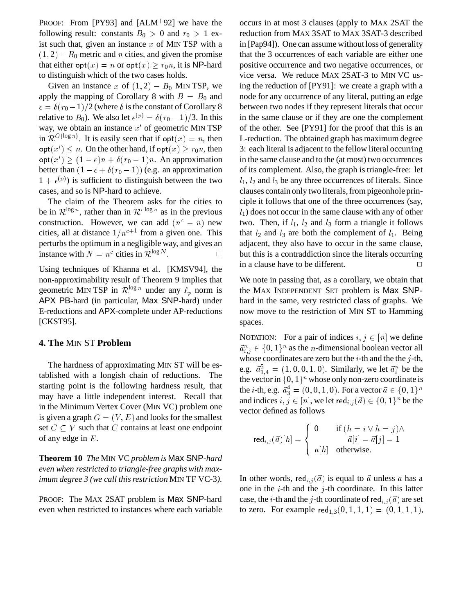PROOF: From  $[PY93]$  and  $[ALM+92]$  we have the following result: constants  $B_0 > 0$  and  $r_0 > 1$  exist such that, given an instance  $x$  of MIN TSP with a  $(1, 2)$  –  $B_0$  metric and n cities, and given the promise that either  $\text{opt}(x) = n$  or  $\text{opt}(x) > r_0 n$ , it is NP-hard to distinguish which of the two cases holds.

Given an instance x of  $(1, 2) - B_0$  MIN TSP, we apply the mapping of Corollary 8 with  $B = B_0$  and  $\epsilon = \delta(r_0 - 1)/2$  (where  $\delta$  is the constant of Corollary 8 relative to  $B_0$ ). We also let  $\epsilon^{(p)} = \delta(r_0 - 1)/3$ . In this way, we obtain an instance  $x'$  of geometric MIN TSP in  $\mathcal{R}^{O(\log n)}$ . It is easily seen that if  $\mathsf{opt}(x) = n$ , then  $\mathsf{opt}(x') \leq n$ . On the other hand, if  $\mathsf{opt}(x) \geq r_0 n$ , then  $\textsf{opt}(x') \ge (1 - \epsilon)n + \delta(r_0 - 1)n$ . An approximation better than  $(1 - \epsilon + \delta(r_0 - 1))$  (e.g. an approximation  $1 + \epsilon^{(p)}$ ) is sufficient to distinguish between the two cases, and so is NP-hard to achieve.

The claim of the Theorem asks for the cities to be in  $\mathcal{R}^{\log n}$ , rather than in  $\mathcal{R}^{c \log n}$  as in the previous construction. However, we can add  $(n^c - n)$  new cities, all at distance  $1/n^{c+1}$  from a given one. This perturbs the optimum in a negligible way, and gives an instance with  $N = n^c$  cities in  $\mathcal{R}^{\log N}$ . — Викорите и Станина, акторист <mark>о</mark>

Using techniques of Khanna et al. [KMSV94], the non-approximability result of Theorem 9 implies that geometric MIN TSP in  $\mathcal{R}^{\log n}$  under any  $\ell_p$  norm is APX PB-hard (in particular, Max SNP-hard) under E-reductions and APX-complete under AP-reductions [CKST95].

### **4. The** MIN ST **Problem**

The hardness of approximating MIN ST will be established with a longish chain of reductions. The starting point is the following hardness result, that may have a little independent interest. Recall that in the Minimum Vertex Cover (MIN VC) problem one is given a graph  $G = (V, E)$  and looks for the smallest set  $C \subseteq V$  such that C contains at least one endpoint of any edge in  $E$ .

**Theorem 10** *The* MIN VC *problem is* Max SNP*-hard even when restricted to triangle-free graphs with maximum degree 3 (we call this restriction* MIN TF VC-3*).*

PROOF: The MAX 2SAT problem is Max SNP-hard even when restricted to instances where each variable occurs in at most 3 clauses (apply to MAX 2SAT the reduction from MAX 3SAT to MAX 3SAT-3 described in [Pap94]). One can assume without loss of generality that the 3 occurrences of each variable are either one positive occurrence and two negative occurrences, or vice versa. We reduce MAX 2SAT-3 to MIN VC using the reduction of [PY91]: we create a graph with a node for any occurrence of any literal, putting an edge between two nodes if they represent literals that occur in the same clause or if they are one the complement of the other. See [PY91] for the proof that this is an L-reduction. The obtained graph has maximum degree 3: each literal is adjacent to the fellow literal occurring in the same clause and to the (at most) two occurrences of its complement. Also, the graph is triangle-free: let  $l_1$ ,  $l_2$  and  $l_3$  be any three occurrences of literals. Since clauses contain only two literals, from pigeonhole principle it follows that one of the three occurrences (say,  $l_1$ ) does not occur in the same clause with any of other two. Then, if  $l_1$ ,  $l_2$  and  $l_3$  form a triangle it follows that  $l_2$  and  $l_3$  are both the complement of  $l_1$ . Being adjacent, they also have to occur in the same clause, but this is a contraddiction since the literals occurring in a clause have to be different.  $\Box$ 

We note in passing that, as a corollary, we obtain that the MAX INDEPENDENT SET problem is Max SNPhard in the same, very restricted class of graphs. We now move to the restriction of MIN ST to Hamming spaces.

NOTATION: For a pair of indices  $i, j \in [n]$  we define  $\vec{a}_{i,j}^n \in \{0,1\}^n$  as the *n*-dimensional boolean vector all whose coordinates are zero but the  $i$ -th and the the  $j$ -th, e.g.  $\vec{a}_{1,4}^5 = (1,0,0,1,0)$ . Similarly, we let  $\vec{a}_i^n$  be the the vector in  $\{0, 1\}^n$  whose only non-zero coordinate is the *i*-th, e.g.  $\vec{a}_3^4 = (0, 0, 1, 0)$ . For a vector  $\vec{a} \in \{0, 1\}^n$ and indices  $i, j \in [n]$ , we let red $i, j \in \{0, 1\}^n$  be the vector defined as follows

$$
\mathsf{red}_{i,j}(\vec{a})[h] = \begin{cases} 0 & \text{if } (h = i \lor h = j) \land \\ \vec{a}[i] = \vec{a}[j] = 1 \\ a[h] & \text{otherwise.} \end{cases}
$$

In other words, red<sub>i,j</sub> $(\vec{a})$  is equal to  $\vec{a}$  unless a has a one in the  $i$ -th and the  $j$ -th coordinate. In this latter case, the *i*-th and the *j*-th coordinate of red<sub>i,j</sub> $(\vec{a})$  are set to zero. For example  $\text{red}_{1,3}(0,1,1,1) = (0,1,1,1),$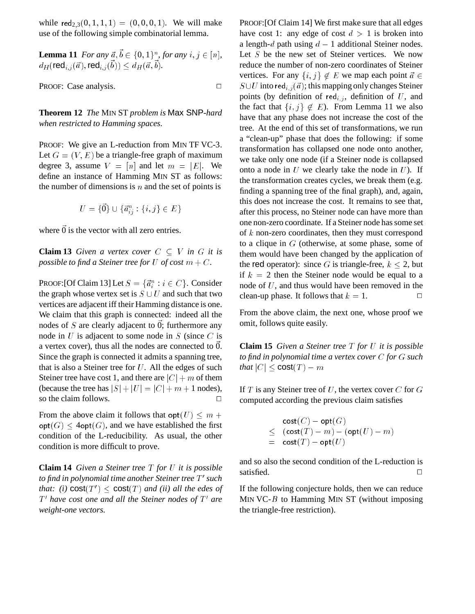while  $\text{red}_{2,3}(0,1,1,1) = (0,0,0,1)$ . We will make use of the following simple combinatorial lemma.

**Lemma 11** *For any*  $\vec{a}, \vec{b} \in \{0, 1\}^n$ , for any  $i, j \in [n]$ ,  $d_H(\mathsf{red}_{i,j}(\vec{a}), \mathsf{red}_{i,j}(\vec{b})) \leq d_H(\vec{a}, \vec{b}).$ 

PROOF: Case analysis.

**Theorem 12** *The* MIN ST *problem is* Max SNP*-hard when restricted to Hamming spaces.*

PROOF: We give an L-reduction from MIN TF VC-3. Let  $G = (V, E)$  be a triangle-free graph of maximum degree 3, assume  $V = [n]$  and let  $m = |E|$ . We define an instance of Hamming MIN ST as follows: the number of dimensions is  $n$  and the set of points is

$$
U = \{\vec{0}\} \cup \{\vec{a}_{ij}^n : \{i, j\} \in E\}
$$

where  $\vec{0}$  is the vector with all zero entries.

**Claim 13** *Given a vertex cover*  $C \subseteq V$  *in*  $G$  *it is possible to find a Steiner tree for* U *of cost*  $m + C$ *.* 

PROOF: [Of Claim 13] Let  $S = \{\vec{a}_i^n : i \in C\}$ . Consider the graph whose vertex set is  $S \cup U$  and such that two vertices are adjacent iff their Hamming distance is one. We claim that this graph is connected: indeed all the nodes of  $S$  are clearly adjacent to 0; furthermore any node in  $U$  is adjacent to some node in  $S$  (since  $C$  is a vertex cover), thus all the nodes are connected to  $\ddot{0}$ . Since the graph is connected it admits a spanning tree, that is also a Steiner tree for  $U$ . All the edges of such Steiner tree have cost 1, and there are  $|C| + m$  of them (because the tree has  $|S| + |U| = |C| + m + 1$  nodes), so the claim follows.  $\Box$ 

From the above claim it follows that  $opt(U) \leq m +$  $\textsf{opt}(G) \leq 4\textsf{opt}(G)$ , and we have established the first condition of the L-reducibility. As usual, the other condition is more difficult to prove.

**Claim 14** *Given a Steiner tree* <sup>T</sup> *for* <sup>U</sup> *it is possible to find in polynomial time another Steiner tree*  $T'$  *such that: (i)*  $cost(T') \le cost(T)$  *and (ii) all the edes of T'* have cost one and all the Steiner nodes of T' are *weight-one vectors.*

PROOF:[Of Claim 14] We first make sure that all edges have cost 1: any edge of cost  $d > 1$  is broken into a length-d path using  $d - 1$  additional Steiner nodes. Let  $S$  be the new set of Steiner vertices. We now reduce the number of non-zero coordinates of Steiner vertices. For any  $\{i, j\} \notin E$  we map each point  $\vec{a} \in$  $S \cup U$  into red<sub>i,j</sub> ( $\vec{a}$ ); this mapping only changes Steiner points (by definition of red<sub>i,j</sub>, definition of U, and the fact that  $\{i, j\} \notin E$ ). From Lemma 11 we also have that any phase does not increase the cost of the tree. At the end of this set of transformations, we run a "clean-up" phase that does the following: if some transformation has collapsed one node onto another, we take only one node (if a Steiner node is collapsed onto a node in  $U$  we clearly take the node in  $U$ ). If the transformation creates cycles, we break them (e.g. finding a spanning tree of the final graph), and, again, this does not increase the cost. It remains to see that, after this process, no Steiner node can have more than one non-zero coordinate. If a Steiner node has some set of <sup>k</sup> non-zero coordinates, then they must correspond to a clique in  $G$  (otherwise, at some phase, some of them would have been changed by the application of the red operator): since G is triangle-free,  $k \le 2$ , but if  $k = 2$  then the Steiner node would be equal to a node of <sup>U</sup>, and thus would have been removed in the clean-up phase. It follows that  $k = 1$ .

From the above claim, the next one, whose proof we omit, follows quite easily.

**Claim 15** *Given a Steiner tree* T *for* U *it is possible to find in polynomial time a vertex cover* <sup>C</sup> *for* <sup>G</sup> *such that*  $|C| \le \text{cost}(T) - m$ 

If T is any Steiner tree of U, the vertex cover  $C$  for  $G$ computed according the previous claim satisfies

$$
cost(C) - opt(G)
$$
  
\n
$$
\leq (cost(T) - m) - (opt(U) - m)
$$
  
\n
$$
= cost(T) - opt(U)
$$

and so also the second condition of the L-reduction is satisfied.  $\Box$ 

If the following conjecture holds, then we can reduce MIN VC- $B$  to Hamming MIN ST (without imposing the triangle-free restriction).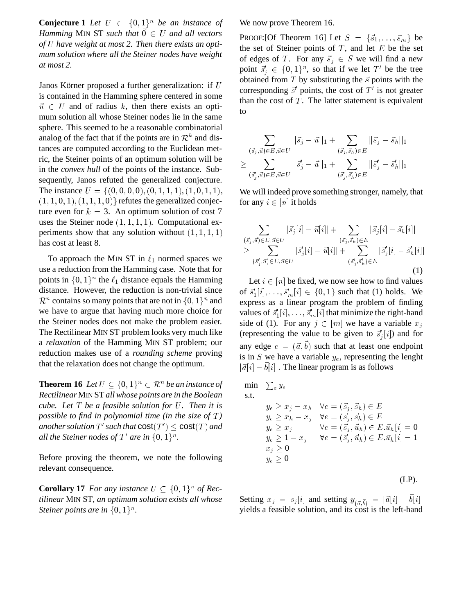**Conjecture 1** Let  $U \subset \{0,1\}^n$  be an instance of *Hamming* MIN ST *such that*  $\vec{0} \in U$  *and all vectors of* <sup>U</sup> *have weight at most 2. Then there exists an optimum solution where all the Steiner nodes have weight at most 2.*

Janos Körner proposed a further generalization: if  $U$ is contained in the Hamming sphere centered in some  $\vec{u} \in U$  and of radius k, then there exists an optimum solution all whose Steiner nodes lie in the same sphere. This seemed to be a reasonable combinatorial analog of the fact that if the points are in  $\mathcal{R}^k$  and distances are computed according to the Euclidean metric, the Steiner points of an optimum solution will be in the *convex hull* of the points of the instance. Subsequently, Janos refuted the generalized conjecture. The instance  $U = \{(0, 0, 0, 0), (0, 1, 1, 1), (1, 0, 1, 1),\}$  $(1, 1, 0, 1), (1, 1, 1, 0)$  refutes the generalized conjecture even for  $k = 3$ . An optimum solution of cost 7 uses the Steiner node  $(1, 1, 1, 1)$ . Computational experiments show that any solution without  $(1, 1, 1, 1)$ has cost at least 8.

To approach the MIN ST in  $\ell_1$  normed spaces we use a reduction from the Hamming case. Note that for points in  $\{0, 1\}^n$  the  $\ell_1$  distance equals the Hamming distance. However, the reduction is non-trivial since  $\mathcal{R}^n$  contains so many points that are not in  $\{0,1\}^n$  and we have to argue that having much more choice for the Steiner nodes does not make the problem easier. The Rectilinear MIN ST problem looks very much like a *relaxation* of the Hamming MIN ST problem; our reduction makes use of a *rounding scheme* proving that the relaxation does not change the optimum.

**Theorem 16** Let  $U \subseteq \{0,1\}^n \subset \mathbb{R}^n$  be an instance of *Rectilinear* MIN ST *all whose points are in the Boolean cube. Let* <sup>T</sup> *be a feasible solution for* <sup>U</sup>*. Then it is possible to find in polynomial time (in the size of T)*  $\mathit{another}$  solution  $T'$  such that  $\mathsf{cost}(T') \leq \mathsf{cost}(T)$  and all the Steiner nodes of  $T'$  are in  $\{0,1\}^n$ .

Before proving the theorem, we note the following relevant consequence.

**Corollary 17** For any instance  $U \subseteq \{0,1\}^n$  of Rec*tilinear* MIN ST*, an optimum solution exists all whose Steiner points are in*  $\{0,1\}^n$ *.* 

We now prove Theorem 16.

PROOF: [Of Theorem 16] Let  $S = \{\vec{s}_1, \ldots, \vec{s}_m\}$  be the set of Steiner points of  $T$ , and let  $E$  be the set of edges of T. For any  $\vec{s}_j \in S$  we will find a new point  $\vec{s}_i' \in \{0,1\}^n$ , so that if we let T' be the tree obtained from  $T$  by substituting the  $\vec{s}$  points with the corresponding  $\vec{s}'$  points, the cost of  $T'$  is not greater than the cost of  $T$ . The latter statement is equivalent to

$$
\sum_{\substack{(\vec{s}_j,\vec{u}) \in E, \vec{u} \in U \\ (\vec{s}_j^*,\vec{u}) \in E, \vec{u} \in U}} ||\vec{s}_j - \vec{u}||_1 + \sum_{\substack{(\vec{s}_j,\vec{s}_h) \in E \\ (\vec{s}_j^*,\vec{s}) \in E}} ||\vec{s}_j - \vec{u}||_1 + \sum_{\substack{(\vec{s}_j^*,\vec{s}_h) \in E \\ (\vec{s}_j^*,\vec{s}) \in E}} ||\vec{s}_j^* - \vec{s}_h^*||_1
$$

We will indeed prove something stronger, namely, that for any  $i \in [n]$  it holds

$$
\sum_{\substack{(\vec{s}_j,\vec{u}) \in E, \vec{u} \in U \\ (\vec{s}_j',\vec{u}) \in E, \vec{u} \in U}} |\vec{s}_j[i] - \vec{u}[i]| + \sum_{\substack{(\vec{s}_j,\vec{s}_h) \in E \\ (\vec{s}_j',\vec{s}_h') \in E}} |\vec{s}_j'[i] - \vec{u}[i]| + \sum_{\substack{(\vec{s}_j',\vec{s}_h') \in E \\ (\vec{s}_j',\vec{s}_h') \in E}} |\vec{s}_j'[i] - \vec{s}_h'[i]|
$$
\n(1)

Let  $i \in [n]$  be fixed, we now see how to find values of  $\vec{s}'_1[i], \ldots, \vec{s}'_m[i] \in \{0, 1\}$  such that (1) holds. We express as a linear program the problem of finding values of  $\vec{s}_1^{\prime}[i], \ldots, \vec{s}_m^{\prime}[i]$  that minimize the right-hand side of (1). For any  $j \in [m]$  we have a variable  $x_j$ (representing the value to be given to  $\vec{s}'_i[i]$ ) and for  $\cdot$ any edge  $e = (\vec{a}, b)$  such that at least one endpoint is in S we have a variable  $y_e$ , representing the lenght  $|\vec{a}[i] - b[i]|$ . The linear program is as follows

min 
$$
\sum_{e} y_e
$$
  
\ns.t.  
\n $y_e \ge x_j - x_h \quad \forall e = (\vec{s}_j, \vec{s}_h) \in E$   
\n $y_e \ge x_h - x_j \quad \forall e = (\vec{s}_j, \vec{s}_h) \in E$   
\n $y_e \ge x_j \quad \forall e = (\vec{s}_j, \vec{u}_h) \in E. \vec{u}_h[i] = 0$   
\n $y_e \ge 1 - x_j \quad \forall e = (\vec{s}_j, \vec{u}_h) \in E. \vec{u}_h[i] = 1$   
\n $x_j \ge 0$   
\n $y_e \ge 0$   
\n(LP).

Setting  $x_j = s_j[i]$  and setting  $y_{(\vec{a}, \vec{b})} = |\vec{a}[i] - b[i]|$ yields a feasible solution, and its cost is the left-hand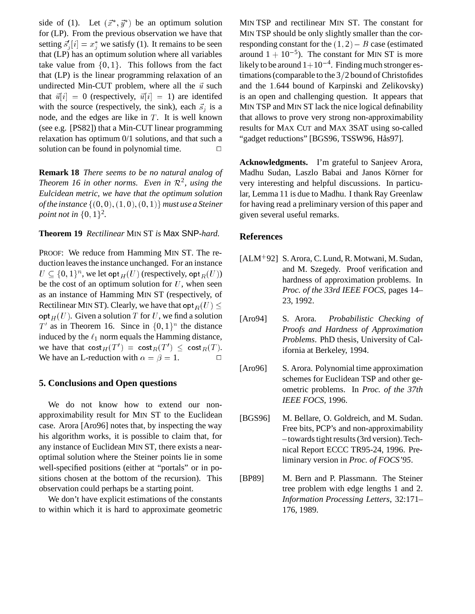side of (1). Let  $(\vec{x}^*, \vec{y}^*)$  be an optimum solution for (LP). From the previous observation we have that setting  $\vec{s}_i[i] = x_i^*$  we satisfy (1). It remains to be seen .. that (LP) has an optimum solution where all variables take value from  $\{0, 1\}$ . This follows from the fact that (LP) is the linear programming relaxation of an undirected Min-CUT problem, where all the  $\vec{u}$  such that  $\vec{u}[i] = 0$  (respectively,  $\vec{u}[i] = 1$ ) are identifed with the source (respectively, the sink), each  $\vec{s}_i$  is a node, and the edges are like in  $T$ . It is well known (see e.g. [PS82]) that a Min-CUT linear programming relaxation has optimum 0/1 solutions, and that such a solution can be found in polynomial time.  $\Box$ 

**Remark 18** *There seems to be no natural analog of Theorem 16 in other norms. Even in*  $\mathcal{R}^2$ , using the *Eulcidean metric, we have that the optimum solution of the instance*  $\{(0,0), (1,0), (0,1)\}$  *must use a Steiner point not in*  $\{0, 1\}^2$ .

#### **Theorem 19** *Rectilinear* MIN ST *is* Max SNP*-hard.*

PROOF: We reduce from Hamming MIN ST. The reduction leaves the instance unchanged. For an instance  $U \subseteq \{0,1\}^n$ , we let opt $_H(U)$  (respectively, opt $_R(U)$ ) be the cost of an optimum solution for  $U$ , when seen as an instance of Hamming MIN ST (respectively, of Rectilinear MIN ST). Clearly, we have that  $opt_R(U) \le$  $\mathsf{opt}_H (U)$ . Given a solution T for U, we find a solution  $T'$  as in Theorem 16. Since in  $\{0,1\}^n$  the distance induced by the  $\ell_1$  norm equals the Hamming distance, we have that  $\mathsf{cost}_H(T') = \mathsf{cost}_R(T') \leq \mathsf{cost}_R(T).$ We have an L-reduction with  $\alpha = \beta = 1$ .

## **5. Conclusions and Open questions**

We do not know how to extend our nonapproximability result for MIN ST to the Euclidean case. Arora [Aro96] notes that, by inspecting the way his algorithm works, it is possible to claim that, for any instance of Euclidean MIN ST, there exists a nearoptimal solution where the Steiner points lie in some well-specified positions (either at "portals" or in positions chosen at the bottom of the recursion). This observation could perhaps be a starting point.

We don't have explicit estimations of the constants to within which it is hard to approximate geometric MIN TSP and rectilinear MIN ST. The constant for MIN TSP should be only slightly smaller than the corresponding constant for the  $(1, 2) - B$  case (estimated around  $1 + 10^{-5}$ ). The constant for MIN ST is more likely to be around  $1+10^{-4}$ . Finding much stronger estimations (comparable to the  $3/2$  bound of Christofides and the 1:644 bound of Karpinski and Zelikovsky) is an open and challenging question. It appears that MIN TSP and MIN ST lack the nice logical definability that allows to prove very strong non-approximability results for MAX CUT and MAX 3SAT using so-called "gadget reductions" [BGS96, TSSW96, Hås97].

**Acknowledgments.** I'm grateful to Sanjeev Arora, Madhu Sudan, Laszlo Babai and Janos Körner for very interesting and helpful discussions. In particular, Lemma 11 is due to Madhu. I thank Ray Greenlaw for having read a preliminary version of this paper and given several useful remarks.

## **References**

- [ALM<sup>+</sup> 92] S. Arora, C. Lund, R. Motwani, M. Sudan, and M. Szegedy. Proof verification and hardness of approximation problems. In *Proc. of the 33rd IEEE FOCS*, pages 14– 23, 1992.
- [Aro94] S. Arora. *Probabilistic Checking of Proofs and Hardness of Approximation Problems*. PhD thesis, University of California at Berkeley, 1994.
- [Aro96] S. Arora. Polynomial time approximation schemes for Euclidean TSP and other geometric problems. In *Proc. of the 37th IEEE FOCS*, 1996.
- [BGS96] M. Bellare, O. Goldreich, and M. Sudan. Free bits, PCP's and non-approximability – towards tight results (3rd version). Technical Report ECCC TR95-24, 1996. Preliminary version in *Proc. of FOCS'95*.
- [BP89] M. Bern and P. Plassmann. The Steiner tree problem with edge lengths 1 and 2. *Information Processing Letters*, 32:171– 176, 1989.